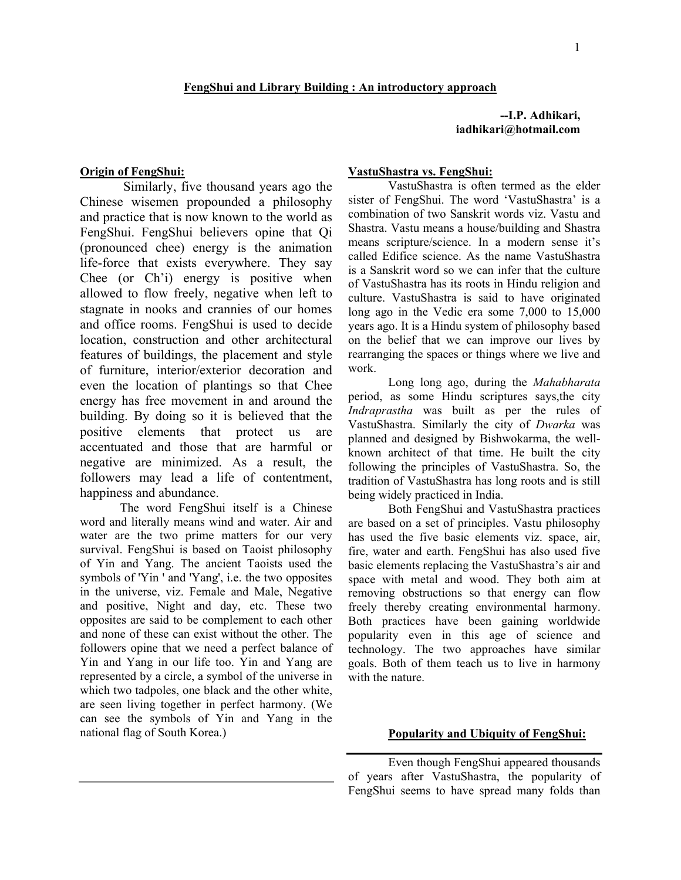# **--I.P. Adhikari, iadhikari@hotmail.com**

# **Origin of FengShui:**

 Similarly, five thousand years ago the Chinese wisemen propounded a philosophy and practice that is now known to the world as FengShui. FengShui believers opine that Qi (pronounced chee) energy is the animation life-force that exists everywhere. They say Chee (or Ch'i) energy is positive when allowed to flow freely, negative when left to stagnate in nooks and crannies of our homes and office rooms. FengShui is used to decide location, construction and other architectural features of buildings, the placement and style of furniture, interior/exterior decoration and even the location of plantings so that Chee energy has free movement in and around the building. By doing so it is believed that the positive elements that protect us are accentuated and those that are harmful or negative are minimized. As a result, the followers may lead a life of contentment, happiness and abundance.

The word FengShui itself is a Chinese word and literally means wind and water. Air and water are the two prime matters for our very survival. FengShui is based on Taoist philosophy of Yin and Yang. The ancient Taoists used the symbols of 'Yin ' and 'Yang', i.e. the two opposites in the universe, viz. Female and Male, Negative and positive, Night and day, etc. These two opposites are said to be complement to each other and none of these can exist without the other. The followers opine that we need a perfect balance of Yin and Yang in our life too. Yin and Yang are represented by a circle, a symbol of the universe in which two tadpoles, one black and the other white, are seen living together in perfect harmony. (We can see the symbols of Yin and Yang in the national flag of South Korea.)

# **VastuShastra vs. FengShui:**

VastuShastra is often termed as the elder sister of FengShui. The word 'VastuShastra' is a combination of two Sanskrit words viz. Vastu and Shastra. Vastu means a house/building and Shastra means scripture/science. In a modern sense it's called Edifice science. As the name VastuShastra is a Sanskrit word so we can infer that the culture of VastuShastra has its roots in Hindu religion and culture. VastuShastra is said to have originated long ago in the Vedic era some 7,000 to 15,000 years ago. It is a Hindu system of philosophy based on the belief that we can improve our lives by rearranging the spaces or things where we live and work.

Long long ago, during the *Mahabharata*  period, as some Hindu scriptures says,the city *Indraprastha* was built as per the rules of VastuShastra. Similarly the city of *Dwarka* was planned and designed by Bishwokarma, the wellknown architect of that time. He built the city following the principles of VastuShastra. So, the tradition of VastuShastra has long roots and is still being widely practiced in India.

Both FengShui and VastuShastra practices are based on a set of principles. Vastu philosophy has used the five basic elements viz. space, air, fire, water and earth. FengShui has also used five basic elements replacing the VastuShastra's air and space with metal and wood. They both aim at removing obstructions so that energy can flow freely thereby creating environmental harmony. Both practices have been gaining worldwide popularity even in this age of science and technology. The two approaches have similar goals. Both of them teach us to live in harmony with the nature.

## **Popularity and Ubiquity of FengShui:**

Even though FengShui appeared thousands of years after VastuShastra, the popularity of FengShui seems to have spread many folds than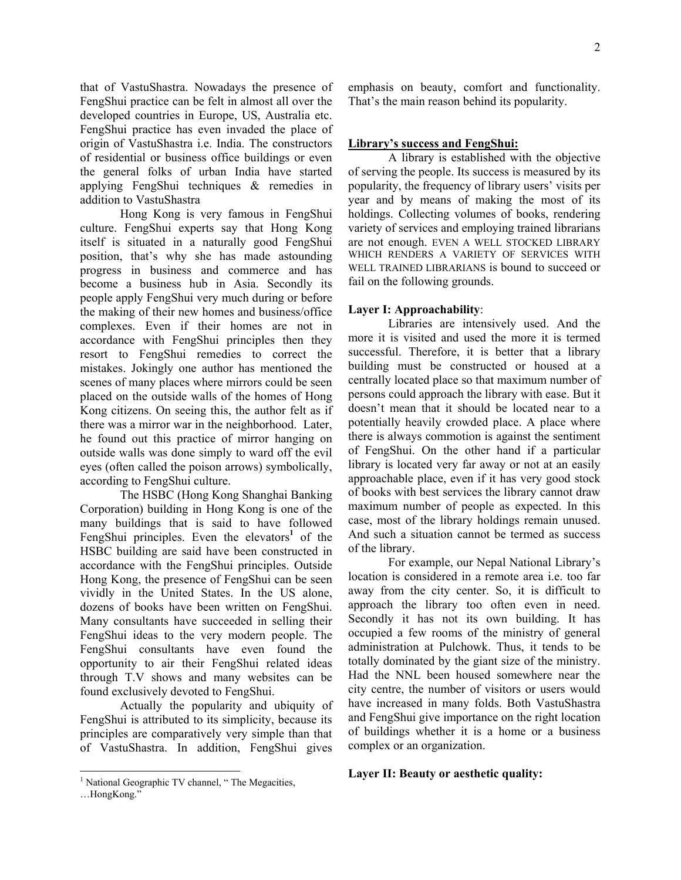that of VastuShastra. Nowadays the presence of FengShui practice can be felt in almost all over the developed countries in Europe, US, Australia etc. FengShui practice has even invaded the place of origin of VastuShastra i.e. India. The constructors of residential or business office buildings or even the general folks of urban India have started applying FengShui techniques & remedies in addition to VastuShastra

Hong Kong is very famous in FengShui culture. FengShui experts say that Hong Kong itself is situated in a naturally good FengShui position, that's why she has made astounding progress in business and commerce and has become a business hub in Asia. Secondly its people apply FengShui very much during or before the making of their new homes and business/office complexes. Even if their homes are not in accordance with FengShui principles then they resort to FengShui remedies to correct the mistakes. Jokingly one author has mentioned the scenes of many places where mirrors could be seen placed on the outside walls of the homes of Hong Kong citizens. On seeing this, the author felt as if there was a mirror war in the neighborhood. Later, he found out this practice of mirror hanging on outside walls was done simply to ward off the evil eyes (often called the poison arrows) symbolically, according to FengShui culture.

The HSBC (Hong Kong Shanghai Banking Corporation) building in Hong Kong is one of the many buildings that is said to have followed FengShui principles. Even the elevators<sup>1</sup> of the HSBC building are said have been constructed in accordance with the FengShui principles. Outside Hong Kong, the presence of FengShui can be seen vividly in the United States. In the US alone, dozens of books have been written on FengShui. Many consultants have succeeded in selling their FengShui ideas to the very modern people. The FengShui consultants have even found the opportunity to air their FengShui related ideas through T.V shows and many websites can be found exclusively devoted to FengShui.

Actually the popularity and ubiquity of FengShui is attributed to its simplicity, because its principles are comparatively very simple than that of VastuShastra. In addition, FengShui gives emphasis on beauty, comfort and functionality. That's the main reason behind its popularity.

### **Library's success and FengShui:**

A library is established with the objective of serving the people. Its success is measured by its popularity, the frequency of library users' visits per year and by means of making the most of its holdings. Collecting volumes of books, rendering variety of services and employing trained librarians are not enough. EVEN A WELL STOCKED LIBRARY WHICH RENDERS A VARIETY OF SERVICES WITH WELL TRAINED LIBRARIANS is bound to succeed or fail on the following grounds.

### **Layer I: Approachability**:

Libraries are intensively used. And the more it is visited and used the more it is termed successful. Therefore, it is better that a library building must be constructed or housed at a centrally located place so that maximum number of persons could approach the library with ease. But it doesn't mean that it should be located near to a potentially heavily crowded place. A place where there is always commotion is against the sentiment of FengShui. On the other hand if a particular library is located very far away or not at an easily approachable place, even if it has very good stock of books with best services the library cannot draw maximum number of people as expected. In this case, most of the library holdings remain unused. And such a situation cannot be termed as success of the library.

For example, our Nepal National Library's location is considered in a remote area i.e. too far away from the city center. So, it is difficult to approach the library too often even in need. Secondly it has not its own building. It has occupied a few rooms of the ministry of general administration at Pulchowk. Thus, it tends to be totally dominated by the giant size of the ministry. Had the NNL been housed somewhere near the city centre, the number of visitors or users would have increased in many folds. Both VastuShastra and FengShui give importance on the right location of buildings whether it is a home or a business complex or an organization.

l

#### **Layer II: Beauty or aesthetic quality:**

<sup>&</sup>lt;sup>1</sup> National Geographic TV channel, "The Megacities,

<sup>…</sup>HongKong."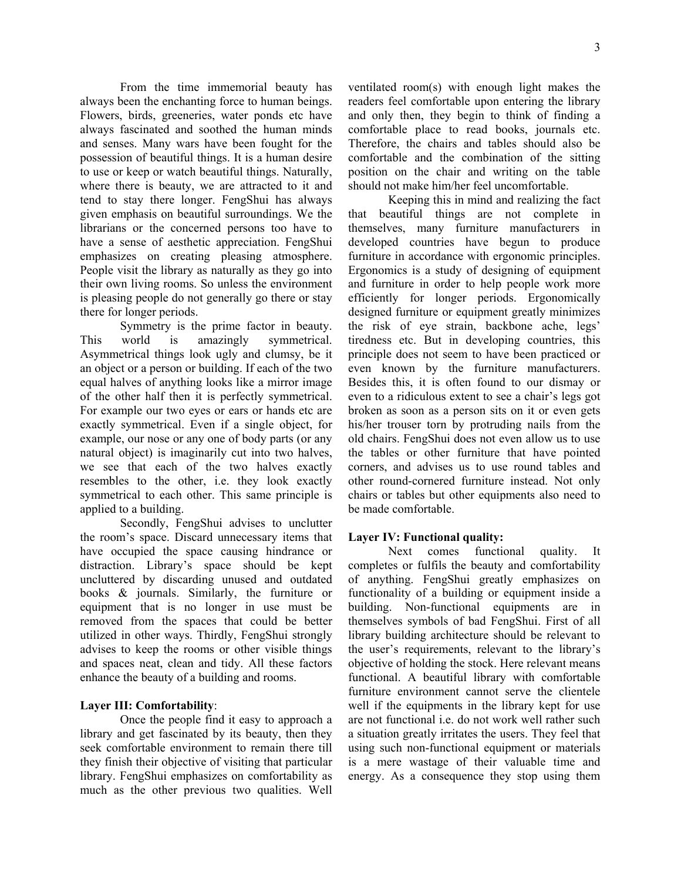3

From the time immemorial beauty has always been the enchanting force to human beings. Flowers, birds, greeneries, water ponds etc have always fascinated and soothed the human minds and senses. Many wars have been fought for the possession of beautiful things. It is a human desire to use or keep or watch beautiful things. Naturally, where there is beauty, we are attracted to it and tend to stay there longer. FengShui has always given emphasis on beautiful surroundings. We the librarians or the concerned persons too have to have a sense of aesthetic appreciation. FengShui emphasizes on creating pleasing atmosphere. People visit the library as naturally as they go into their own living rooms. So unless the environment is pleasing people do not generally go there or stay there for longer periods.

Symmetry is the prime factor in beauty. This world is amazingly symmetrical. Asymmetrical things look ugly and clumsy, be it an object or a person or building. If each of the two equal halves of anything looks like a mirror image of the other half then it is perfectly symmetrical. For example our two eyes or ears or hands etc are exactly symmetrical. Even if a single object, for example, our nose or any one of body parts (or any natural object) is imaginarily cut into two halves, we see that each of the two halves exactly resembles to the other, i.e. they look exactly symmetrical to each other. This same principle is applied to a building.

Secondly, FengShui advises to unclutter the room's space. Discard unnecessary items that have occupied the space causing hindrance or distraction. Library's space should be kept uncluttered by discarding unused and outdated books & journals. Similarly, the furniture or equipment that is no longer in use must be removed from the spaces that could be better utilized in other ways. Thirdly, FengShui strongly advises to keep the rooms or other visible things and spaces neat, clean and tidy. All these factors enhance the beauty of a building and rooms.

# **Layer III: Comfortability**:

Once the people find it easy to approach a library and get fascinated by its beauty, then they seek comfortable environment to remain there till they finish their objective of visiting that particular library. FengShui emphasizes on comfortability as much as the other previous two qualities. Well ventilated room(s) with enough light makes the readers feel comfortable upon entering the library and only then, they begin to think of finding a comfortable place to read books, journals etc. Therefore, the chairs and tables should also be comfortable and the combination of the sitting position on the chair and writing on the table should not make him/her feel uncomfortable.

Keeping this in mind and realizing the fact that beautiful things are not complete in themselves, many furniture manufacturers in developed countries have begun to produce furniture in accordance with ergonomic principles. Ergonomics is a study of designing of equipment and furniture in order to help people work more efficiently for longer periods. Ergonomically designed furniture or equipment greatly minimizes the risk of eye strain, backbone ache, legs' tiredness etc. But in developing countries, this principle does not seem to have been practiced or even known by the furniture manufacturers. Besides this, it is often found to our dismay or even to a ridiculous extent to see a chair's legs got broken as soon as a person sits on it or even gets his/her trouser torn by protruding nails from the old chairs. FengShui does not even allow us to use the tables or other furniture that have pointed corners, and advises us to use round tables and other round-cornered furniture instead. Not only chairs or tables but other equipments also need to be made comfortable.

## **Layer IV: Functional quality:**

Next comes functional quality. It completes or fulfils the beauty and comfortability of anything. FengShui greatly emphasizes on functionality of a building or equipment inside a building. Non-functional equipments are in themselves symbols of bad FengShui. First of all library building architecture should be relevant to the user's requirements, relevant to the library's objective of holding the stock. Here relevant means functional. A beautiful library with comfortable furniture environment cannot serve the clientele well if the equipments in the library kept for use are not functional i.e. do not work well rather such a situation greatly irritates the users. They feel that using such non-functional equipment or materials is a mere wastage of their valuable time and energy. As a consequence they stop using them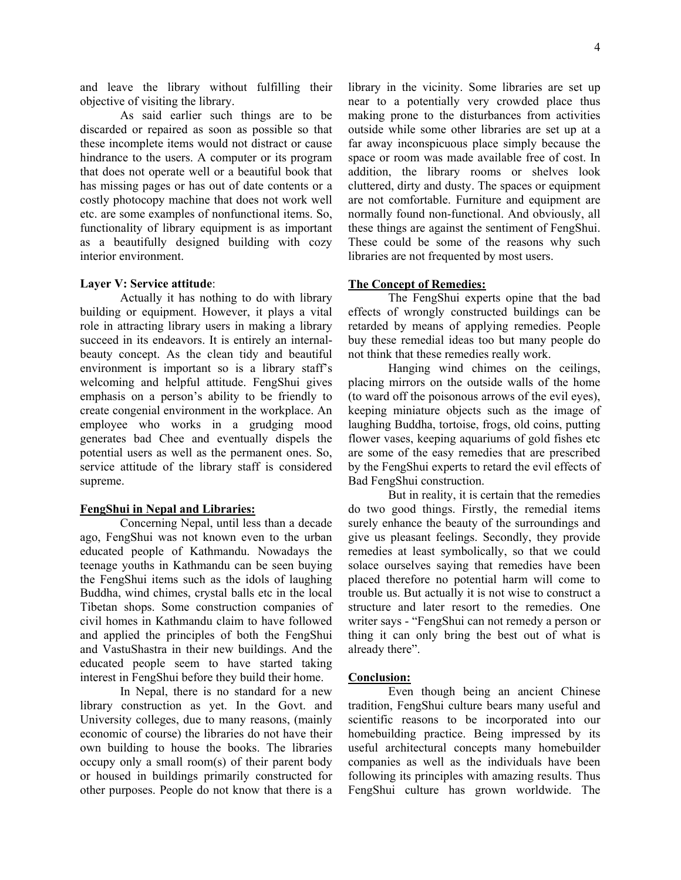and leave the library without fulfilling their objective of visiting the library.

As said earlier such things are to be discarded or repaired as soon as possible so that these incomplete items would not distract or cause hindrance to the users. A computer or its program that does not operate well or a beautiful book that has missing pages or has out of date contents or a costly photocopy machine that does not work well etc. are some examples of nonfunctional items. So, functionality of library equipment is as important as a beautifully designed building with cozy interior environment.

## **Layer V: Service attitude**:

Actually it has nothing to do with library building or equipment. However, it plays a vital role in attracting library users in making a library succeed in its endeavors. It is entirely an internalbeauty concept. As the clean tidy and beautiful environment is important so is a library staff's welcoming and helpful attitude. FengShui gives emphasis on a person's ability to be friendly to create congenial environment in the workplace. An employee who works in a grudging mood generates bad Chee and eventually dispels the potential users as well as the permanent ones. So, service attitude of the library staff is considered supreme.

## **FengShui in Nepal and Libraries:**

Concerning Nepal, until less than a decade ago, FengShui was not known even to the urban educated people of Kathmandu. Nowadays the teenage youths in Kathmandu can be seen buying the FengShui items such as the idols of laughing Buddha, wind chimes, crystal balls etc in the local Tibetan shops. Some construction companies of civil homes in Kathmandu claim to have followed and applied the principles of both the FengShui and VastuShastra in their new buildings. And the educated people seem to have started taking interest in FengShui before they build their home.

In Nepal, there is no standard for a new library construction as yet. In the Govt. and University colleges, due to many reasons, (mainly economic of course) the libraries do not have their own building to house the books. The libraries occupy only a small room(s) of their parent body or housed in buildings primarily constructed for other purposes. People do not know that there is a library in the vicinity. Some libraries are set up near to a potentially very crowded place thus making prone to the disturbances from activities outside while some other libraries are set up at a far away inconspicuous place simply because the space or room was made available free of cost. In addition, the library rooms or shelves look cluttered, dirty and dusty. The spaces or equipment are not comfortable. Furniture and equipment are normally found non-functional. And obviously, all these things are against the sentiment of FengShui. These could be some of the reasons why such libraries are not frequented by most users.

#### **The Concept of Remedies:**

The FengShui experts opine that the bad effects of wrongly constructed buildings can be retarded by means of applying remedies. People buy these remedial ideas too but many people do not think that these remedies really work.

Hanging wind chimes on the ceilings, placing mirrors on the outside walls of the home (to ward off the poisonous arrows of the evil eyes), keeping miniature objects such as the image of laughing Buddha, tortoise, frogs, old coins, putting flower vases, keeping aquariums of gold fishes etc are some of the easy remedies that are prescribed by the FengShui experts to retard the evil effects of Bad FengShui construction.

But in reality, it is certain that the remedies do two good things. Firstly, the remedial items surely enhance the beauty of the surroundings and give us pleasant feelings. Secondly, they provide remedies at least symbolically, so that we could solace ourselves saying that remedies have been placed therefore no potential harm will come to trouble us. But actually it is not wise to construct a structure and later resort to the remedies. One writer says - "FengShui can not remedy a person or thing it can only bring the best out of what is already there".

#### **Conclusion:**

Even though being an ancient Chinese tradition, FengShui culture bears many useful and scientific reasons to be incorporated into our homebuilding practice. Being impressed by its useful architectural concepts many homebuilder companies as well as the individuals have been following its principles with amazing results. Thus FengShui culture has grown worldwide. The